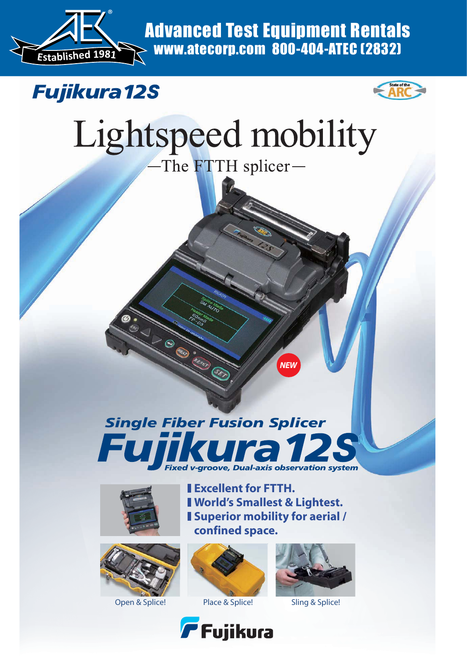

Advanced Test Equipment Rentals www.atecorp.com 800-404-ATEC (2832)





# Lightspeed mobility

The FTTH splicer-

*NEW*

### *Single Fiber Fusion Splicer*  $\blacksquare$ *Fixed v-groove, Dual-axis observation system*

Œ,

and the contract of the contract of the contract of the contract of the contract of the contract of the contract of







**World's Smallest & Lightest.**

**Excellent for FTTH.**



Open & Splice! Place & Splice! Sling & Splice!